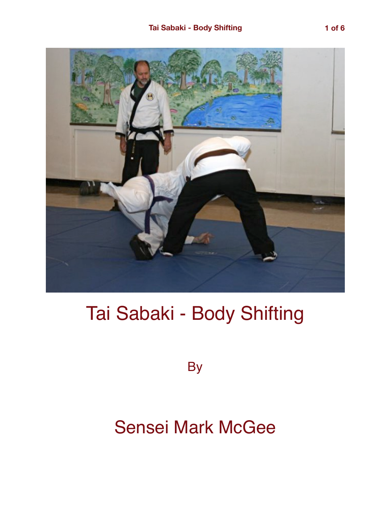

## Tai Sabaki - Body Shifting

**By** 

## Sensei Mark McGee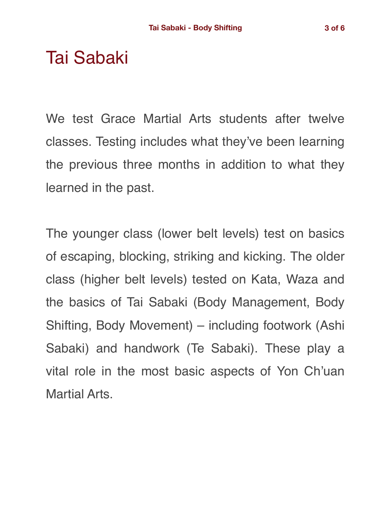## Tai Sabaki

We test Grace Martial Arts students after twelve classes. Testing includes what they've been learning the previous three months in addition to what they learned in the past.

The younger class (lower belt levels) test on basics of escaping, blocking, striking and kicking. The older class (higher belt levels) tested on Kata, Waza and the basics of Tai Sabaki (Body Management, Body Shifting, Body Movement) – including footwork (Ashi Sabaki) and handwork (Te Sabaki). These play a vital role in the most basic aspects of Yon Ch'uan Martial Arts.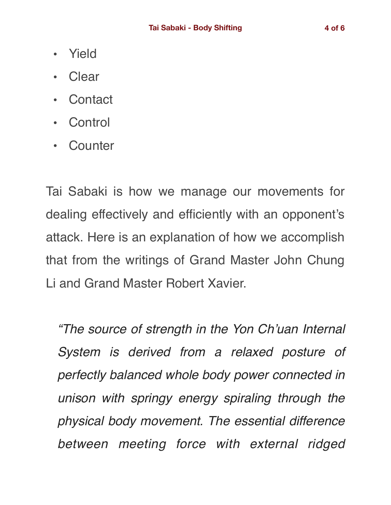- Yield
- Clear
- Contact
- **Control**
- Counter

Tai Sabaki is how we manage our movements for dealing effectively and efficiently with an opponent's attack. Here is an explanation of how we accomplish that from the writings of Grand Master John Chung Li and Grand Master Robert Xavier.

*"The source of strength in the Yon Ch'uan Internal System is derived from a relaxed posture of perfectly balanced whole body power connected in unison with springy energy spiraling through the physical body movement. The essential difference between meeting force with external ridged*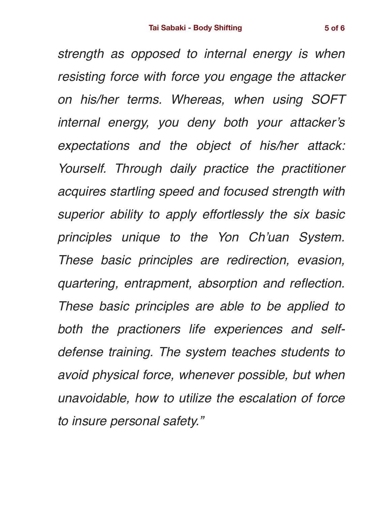*strength as opposed to internal energy is when resisting force with force you engage the attacker on his/her terms. Whereas, when using SOFT internal energy, you deny both your attacker's expectations and the object of his/her attack: Yourself. Through daily practice the practitioner acquires startling speed and focused strength with superior ability to apply effortlessly the six basic principles unique to the Yon Ch'uan System. These basic principles are redirection, evasion, quartering, entrapment, absorption and reflection. These basic principles are able to be applied to both the practioners life experiences and selfdefense training. The system teaches students to avoid physical force, whenever possible, but when unavoidable, how to utilize the escalation of force to insure personal safety."*